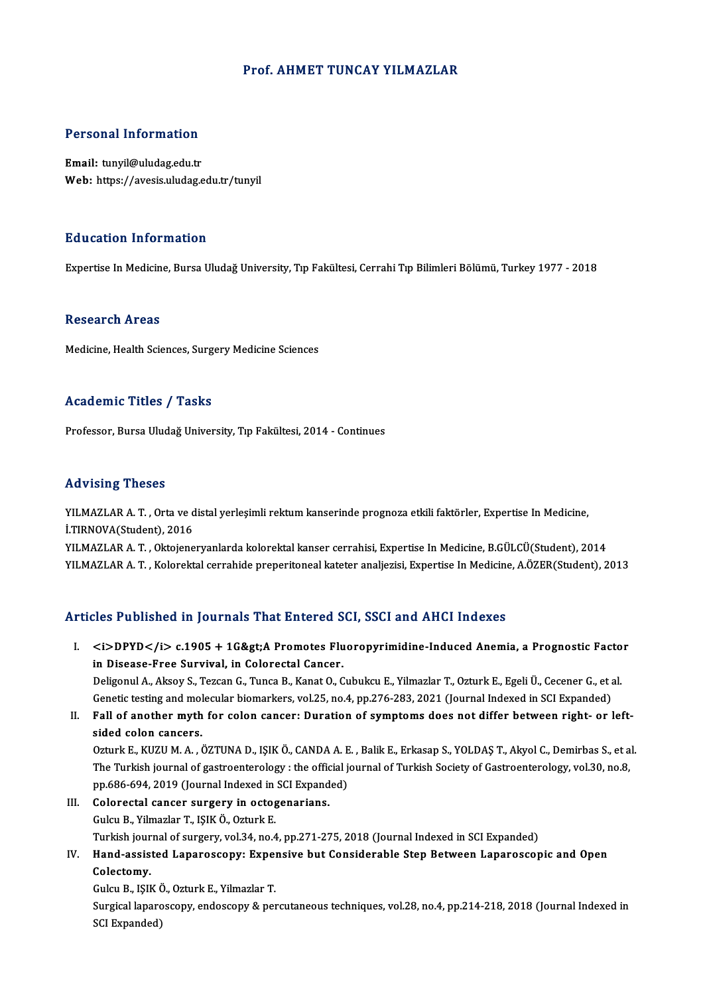### Prof. AHMET TUNCAY YILMAZLAR

#### Personal Information

Email: tunyil@uludag.edu.tr Web: https://avesis.uludag.edu.tr/tunyil

#### Education Information

Expertise InMedicine,BursaUludağUniversity,Tıp Fakültesi,CerrahiTıpBilimleriBölümü,Turkey1977 -2018

#### Research Areas

Medicine, Health Sciences, Surgery Medicine Sciences

#### Academic Titles / Tasks

Professor, Bursa Uludağ University, Tıp Fakültesi, 2014 - Continues

#### Advising Theses

Advising Theses<br>YILMAZLAR A. T. , Orta ve distal yerleşimli rektum kanserinde prognoza etkili faktörler, Expertise In Medicine,<br>İ.TIPNOVA(Student), 2016 I.<br>I.TIRNOVA(Student), 2016<br>I.TIRNOVA(Student), 2016<br>VII.MAZI AR A.T., Oktoione

İ.TIRNOVA(Student), 2016<br>YILMAZLAR A. T. , Oktojeneryanlarda kolorektal kanser cerrahisi, Expertise In Medicine, B.GÜLCÜ(Student), 2014 YILMAZLAR A.T., Kolorektal cerrahide preperitoneal kateter analjezisi, Expertise In Medicine, A.ÖZER(Student), 2013

#### Articles Published in Journals That Entered SCI, SSCI and AHCI Indexes

rticles Published in Journals That Entered SCI, SSCI and AHCI Indexes<br>I. <i>DPYD</i> c.1905 + 1G&gt;A Promotes Fluoropyrimidine-Induced Anemia, a Prognostic Factor<br>in Disease Free Survival in Celerestal Cancer sics I dishoned in journals That Entered B<br>
<br>
in Disease-Free Survival, in Colorectal Cancer.<br>
Deligenul A Aligey S. Tergen C. Tunge B. Kenst O. C. <i>DPYD</i> c.1905 + 1G&gt;A Promotes Fluoropyrimidine-Induced Anemia, a Prognostic Facto<br>in Disease-Free Survival, in Colorectal Cancer.<br>Deligonul A., Aksoy S., Tezcan G., Tunca B., Kanat O., Cubukcu E., Yilmazlar T., Ozt in Disease-Free Survival, in Colorectal Cancer.<br>Deligonul A., Aksoy S., Tezcan G., Tunca B., Kanat O., Cubukcu E., Yilmazlar T., Ozturk E., Egeli Ü., Cecener G., et<br>Genetic testing and molecular biomarkers, vol.25, no.4, p

Deligonul A., Aksoy S., Tezcan G., Tunca B., Kanat O., Cubukcu E., Yilmazlar T., Ozturk E., Egeli Ü., Cecener G., et al.<br>Genetic testing and molecular biomarkers, vol.25, no.4, pp.276-283, 2021 (Journal Indexed in SCI Expa

Genetic testing and molecular biomarkers, vol.25, no.4, pp.276-283, 2021 (Journal Indexed in SCI Expanded)<br>II. Fall of another myth for colon cancer: Duration of symptoms does not differ between right- or left-<br>sided colon

Ozturk E., KUZU M. A., ÖZTUNA D., IŞIK Ö., CANDA A. E., Balik E., Erkasap S., YOLDAŞ T., Akyol C., Demirbas S., et al. sided colon cancers.<br>Ozturk E., KUZU M. A. , ÖZTUNA D., IŞIK Ö., CANDA A. E. , Balik E., Erkasap S., YOLDAŞ T., Akyol C., Demirbas S., et a<br>The Turkish journal of gastroenterology : the official journal of Turkish Society Ozturk E., KUZU M. A. , ÖZTUNA D., IŞIK Ö., CANDA A. E<br>The Turkish journal of gastroenterology : the official j<br>pp.686-694, 2019 (Journal Indexed in SCI Expanded)<br>Colorestal sensor sursory in estasonarians

pp.686-694, 2019 (Journal Indexed in SCI Expanded)<br>III. Colorectal cancer surgery in octogenarians. GulcuB.,YilmazlarT., IŞIKÖ.,OzturkE. Turkish journal of surgery, vol.34, no.4, pp.271-275, 2018 (Journal Indexed in SCI Expanded) Gulcu B., Yilmazlar T., IŞIK Ö., Ozturk E.<br>Turkish journal of surgery, vol.34, no.4, pp.271-275, 2018 (Journal Indexed in SCI Expanded)<br>IV. Hand-assisted Laparoscopy: Expensive but Considerable Step Between Laparoscopi

# Turkish jour<br>Hand-assis<br>Colectomy.<br>Culau B. 1914 Hand-assisted Laparoscopy: Exper<br>Colectomy.<br>Gulcu B., IŞIK Ö., Ozturk E., Yilmazlar T.<br>Surgical laparoscopy: ondoscopy: 8. per Colectomy.<br>Gulcu B., IŞIK Ö., Ozturk E., Yilmazlar T.<br>Surgical laparoscopy, endoscopy & percutaneous techniques, vol.28, no.4, pp.214-218, 2018 (Journal Indexed in

SCI Expanded)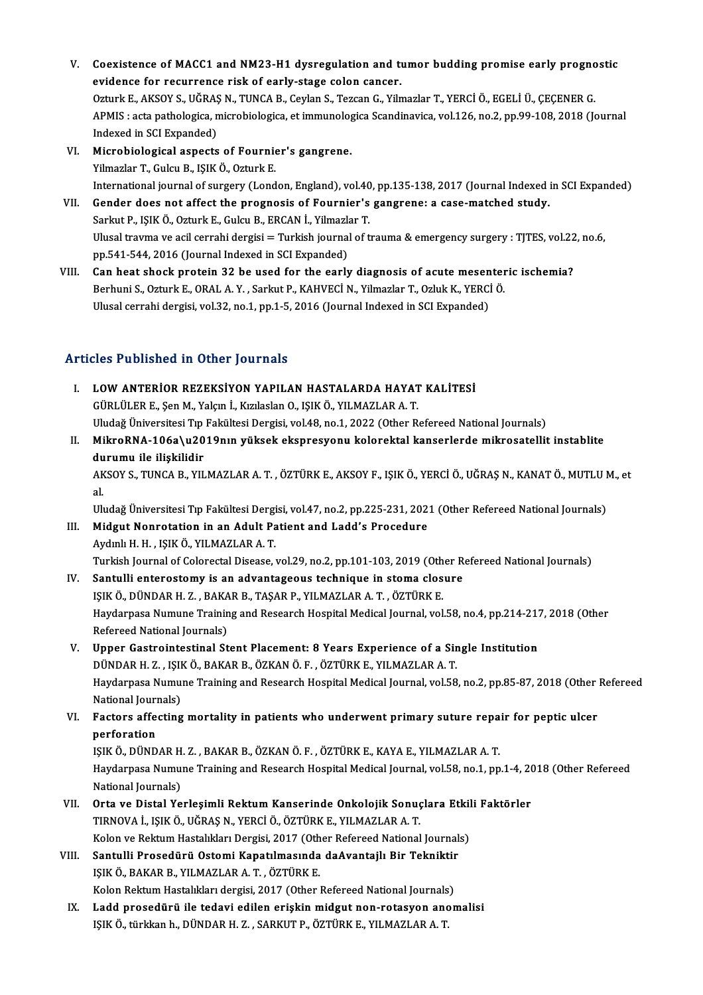- V. Coexistence of MACC1 and NM23-H1 dysregulation and tumor budding promise early prognostic<br>exidence for requirence rick of early stage selon cancer. Coexistence of MACC1 and NM23-H1 dysregulation and the<br>evidence for recurrence risk of early-stage colon cancer.<br>Otturk E. AKSOV S. HČRAS N. THNCA B. Coulan S. Terson C. Viln Coexistence of MACC1 and NM23-H1 dysregulation and tumor budding promise early progno<br>evidence for recurrence risk of early-stage colon cancer.<br>Ozturk E., AKSOY S., UĞRAŞ N., TUNCA B., Ceylan S., Tezcan G., Yilmazlar T., Y evidence for recurrence risk of early-stage colon cancer.<br>Ozturk E., AKSOY S., UĞRAŞ N., TUNCA B., Ceylan S., Tezcan G., Yilmazlar T., YERCİ Ö., EGELİ Ü., ÇEÇENER G.<br>APMIS : acta pathologica, microbiologica, et immunologic Ozturk E., AKSOY S., UĞRAŞ<br>APMIS : acta pathologica, n<br>Indexed in SCI Expanded)<br>Microbiological aspects APMIS : acta pathologica, microbiologica, et immunolog<br>Indexed in SCI Expanded)<br>VI. Microbiological aspects of Fournier's gangrene.<br>Vilmaglar T. Culqu B. ISIK Ö. Ogturk E.
- Indexed in SCI Expanded)<br>Microbiological aspects of Fournie<br>Yilmazlar T., Gulcu B., IŞIK Ö., Ozturk E.<br>International journal of surgery (Lond Microbiological aspects of Fournier's gangrene.<br>Yilmazlar T., Gulcu B., IŞIK Ö., Ozturk E.<br>International journal of surgery (London, England), vol.40, pp.135-138, 2017 (Journal Indexed in SCI Expanded)<br>Condor does not affe Yilmazlar T., Gulcu B., IŞIK Ö., Ozturk E.<br>International journal of surgery (London, England), vol.40, pp.135-138, 2017 (Journal Indexed i<br>VII. Gender does not affect the prognosis of Fournier's gangrene: a case-matched st
- International journal of surgery (London, England), vol.40<br>Gender does not affect the prognosis of Fournier's<br>Sarkut P., IŞIK Ö., Ozturk E., Gulcu B., ERCAN İ., Yilmazlar T.<br>Hlucel trauma ve asil sarrabi dergisi Turkish Ulusal travma ve acil cerrahi dergisi = Turkish journal of trauma & emergency surgery : TJTES, vol.22, no.6,<br>pp.541-544, 2016 (Journal Indexed in SCI Expanded) Sarkut P., ISIK Ö., Ozturk E., Gulcu B., ERCAN İ., Yilmazlar T.
- VIII. Can heat shock protein 32 be used for the early diagnosis of acute mesenteric ischemia? pp.541-544, 2016 (Journal Indexed in SCI Expanded)<br>Can heat shock protein 32 be used for the early diagnosis of acute mesenter<br>Berhuni S., Ozturk E., ORAL A.Y. , Sarkut P., KAHVECİ N., Yilmazlar T., Ozluk K., YERCİ Ö.<br>Ulus Can heat shock protein 32 be used for the early diagnosis of acute mesen<br>Berhuni S., Ozturk E., ORAL A. Y. , Sarkut P., KAHVECİ N., Yilmazlar T., Ozluk K., YERCİ<br>Ulusal cerrahi dergisi, vol.32, no.1, pp.1-5, 2016 (Journal Ulusal cerrahi dergisi, vol.32, no.1, pp.1-5, 2016 (Journal Indexed in SCI Expanded)<br>Articles Published in Other Journals

- I. LOWANTERİOR REZEKSİYON YAPILAN HASTALARDA HAYAT KALİTESİ GÜRLÜLERE.,ŞenM.,Yalçınİ.,KızılaslanO., IŞIKÖ.,YILMAZLARA.T. Uludağ Üniversitesi Tıp Fakültesi Dergisi, vol.48, no.1, 2022 (Other Refereed National Journals) GÜRLÜLER E., Şen M., Yalçın İ., Kızılaslan O., IŞIK Ö., YILMAZLAR A. T.<br>Uludağ Üniversitesi Tıp Fakültesi Dergisi, vol.48, no.1, 2022 (Other Refereed National Journals)<br>II. MikroRNA-106a\u2019nın yüksek ekspresyonu kolorek
- Uludağ Üniversitesi Tıp<br>MikroRNA-106a\u20<br>durumu ile ilişkilidir<br>AKSOV S. TUNCA B. VU MikroRNA-106a\u2019nın yüksek ekspresyonu kolorektal kanserlerde mikrosatellit instablite<br>durumu ile ilişkilidir<br>AKSOY S., TUNCA B., YILMAZLAR A. T. , ÖZTÜRK E., AKSOY F., IŞIK Ö., YERCİ Ö., UĞRAŞ N., KANAT Ö., MUTLU M., e

du<br>AK<br>al<br>111. AKSOY S., TUNCA B., YILMAZLAR A. T. , ÖZTÜRK E., AKSOY F., IŞIK Ö., YERCİ Ö., UĞRAŞ N., KANAT Ö., MUTLU I<br>al.<br>Uludağ Üniversitesi Tıp Fakültesi Dergisi, vol.47, no.2, pp.225-231, 2021 (Other Refereed National Journals)<br>Mid

- al.<br>I Uludağ Üniversitesi Tıp Fakültesi Dergisi, vol.47, no.2, pp.225-231, 202<br>III. Midgut Nonrotation in an Adult Patient and Ladd's Procedure Uludağ Üniversitesi Tıp Fakültesi Dergi<br>**Midgut Nonrotation in an Adult Pa**<br>Aydınlı H. H. , IŞIK Ö., YILMAZLAR A. T.<br>Turkish Journal of Colonestal Disease . Midgut Nonrotation in an Adult Patient and Ladd's Procedure<br>Aydınlı H. H. , IŞIK Ö., YILMAZLAR A. T.<br>Turkish Journal of Colorectal Disease, vol.29, no.2, pp.101-103, 2019 (Other Refereed National Journals)<br>Santulli anteros Aydınlı H. H., IŞIK Ö., YILMAZLAR A. T.<br>Turkish Journal of Colorectal Disease, vol.29, no.2, pp.101-103, 2019 (Other R.<br>IV. Santulli enterostomy is an advantageous technique in stoma closure<br>ISIK Ö. DÜNDAR H. Z., RAKAR R.
- Turkish Journal of Colorectal Disease, vol.29, no.2, pp.101-103, 2019 (Oth<br>Santulli enterostomy is an advantageous technique in stoma clos<br>IŞIK Ö., DÜNDAR H. Z. , BAKAR B., TAŞAR P., YILMAZLAR A. T. , ÖZTÜRK E.<br>Havdarnese IV. Santulli enterostomy is an advantageous technique in stoma closure<br>IŞIK Ö., DÜNDAR H. Z. , BAKAR B., TAŞAR P., YILMAZLAR A. T. , ÖZTÜRK E.<br>Haydarpasa Numune Training and Research Hospital Medical Journal, vol.58, no.4, IŞIK Ö., DÜNDAR H. Z., BAKAR B., TAŞAR P., YILMAZLAR A. T., ÖZTÜRK E. Haydarpasa Numune Training and Research Hospital Medical Journal, vol.58, no.4, pp.214-217<br>Refereed National Journals)<br>V. Upper Gastrointestinal Stent Placement: 8 Years Experience of a Single Institution<br>DINDARH 7, ISIKÖ
- Refereed National Journals)<br>Upper Gastrointestinal Stent Placement: 8 Years Experience of a Sir<br>DÜNDAR H. Z. , IŞIK Ö., BAKAR B., ÖZKAN Ö. F. , ÖZTÜRK E., YILMAZLAR A. T.<br>Havdarnaca Numuna Training and Bessarsh Hespital Me Haydarpasa Numune Training and Research Hospital Medical Journal, vol.58, no.2, pp.85-87, 2018 (Other Refereed<br>National Journals) DÜNDAR H. Z., IŞIK Ö., BAKAR B., ÖZKAN Ö. F., ÖZTÜRK E., YILMAZLAR A. T. Haydarpasa Numune Training and Research Hospital Medical Journal, vol.58, no.2, pp.85-87, 2018 (Other National Journals)<br>VI. Factors affecting mortality in patients who underwent primary suture repair for peptic ulcer<br>norf
- National Jouri<br>Factors affe<br>perforation<br>ISIV Ö. DÜND Factors affecting mortality in patients who underwent primary suture repa<br>perforation<br>IŞIK Ö., DÜNDAR H. Z. , BAKAR B., ÖZKAN Ö. F. , ÖZTÜRK E., KAYA E., YILMAZLAR A. T.<br>Havdarnass Numung Training and Bassarsk Haspital Med

perforation<br>IŞIK Ö., DÜNDAR H. Z. , BAKAR B., ÖZKAN Ö. F. , ÖZTÜRK E., KAYA E., YILMAZLAR A. T.<br>Haydarpasa Numune Training and Research Hospital Medical Journal, vol.58, no.1, pp.1-4, 2018 (Other Refereed<br>National Iournals IŞIK Ö., DÜNDAR H. Z., BAKAR B., ÖZKAN Ö. F., ÖZTÜRK E., KAYA E., YILMAZLAR A. T. Haydarpasa Numune Training and Research Hospital Medical Journal, vol.58, no.1, pp.1-4, 20<br>National Journals)<br>VII. Orta ve Distal Yerleşimli Rektum Kanserinde Onkolojik Sonuçlara Etkili Faktörler<br>TIPNOVA İ. ISIKÖ JIČPA

- TIRNOVA İ., IŞIK Ö., UĞRAŞ N., YERCİ Ö., ÖZTÜRK E., YILMAZLAR A. T.<br>Kolon ve Rektum Hastalıkları Dergisi, 2017 (Other Refereed National Journals) Orta ve Distal Yerleşimli Rektum Kanserinde Onkolojik Sonuçlara Etkil<br>TIRNOVA İ., IŞIK Ö., UĞRAŞ N., YERCİ Ö., ÖZTÜRK E., YILMAZLAR A. T.<br>Kolon ve Rektum Hastalıkları Dergisi, 2017 (Other Refereed National Journals)<br>Santul
- VIII. Santulli Prosedürü Ostomi Kapatılmasında daAvantajlı Bir Tekniktir IŞIKÖ.,BAKARB.,YILMAZLARA.T. ,ÖZTÜRKE. Kolon Rektum Hastalıkları dergisi, 2017 (Other Refereed National Journals) IŞIK Ö., BAKAR B., YILMAZLAR A. T. , ÖZTÜRK E.<br>Kolon Rektum Hastalıkları dergisi, 2017 (Other Refereed National Journals)<br>IX. Ladd prosedürü ile tedavi edilen erişkin midgut non-rotasyon anomalisi<br>ISIK Ö. türkisen b. DÜNDA
- Kolon Rektum Hastalıkları dergisi, 2017 (Other Refereed National Journals<br><mark>Ladd prosedürü ile tedavi edilen erişkin midgut non-rotasyon an</mark><br>IŞIK Ö., türkkan h., DÜNDAR H. Z. , SARKUT P., ÖZTÜRK E., YILMAZLAR A. T.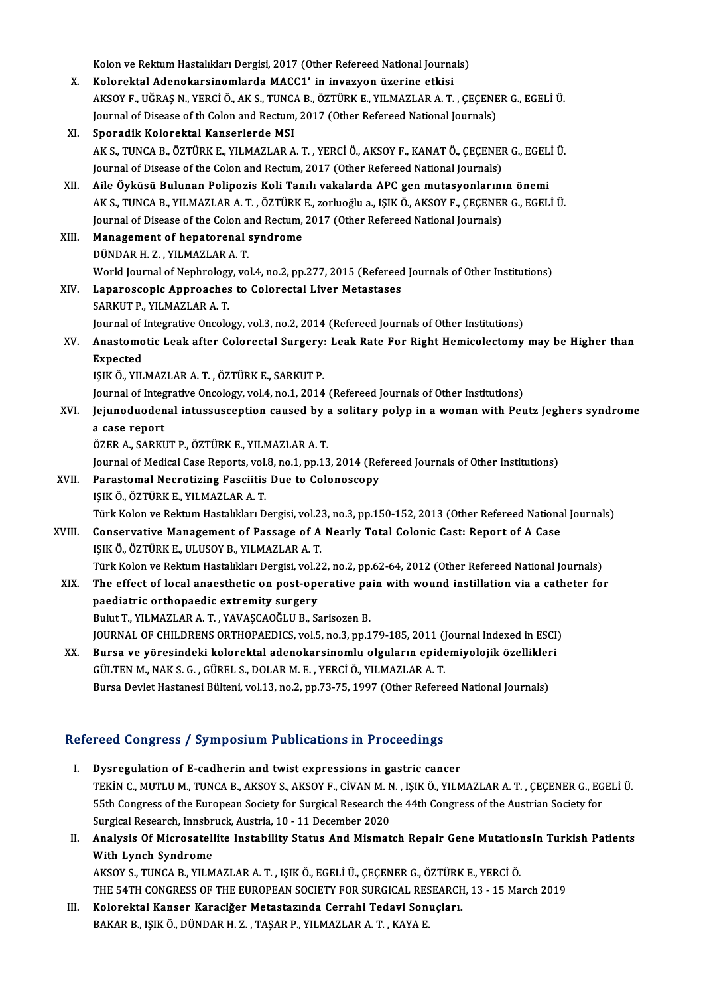Kolon ve Rektum Hastalıkları Dergisi, 2017 (Other Refereed National Journals)<br>Kolonaktal Adenakansinemlanda MACC1' in invegyen üzenine etkişi

Kolon ve Rektum Hastalıkları Dergisi, 2017 (Other Refereed National Journa<br>X. Kolorektal Adenokarsinomlarda MACC1' in invazyon üzerine etkisi<br>AKSOV E. UČRAS N. VERCLÖ, AKS, TUNGA B. ÖZTÜRK E. VU MAZLAR A. T. Kolon ve Rektum Hastalıkları Dergisi, 2017 (Other Refereed National Journals)<br>Kolorektal Adenokarsinomlarda MACC1' in invazyon üzerine etkisi<br>AKSOY F., UĞRAŞ N., YERCİ Ö., AK S., TUNCA B., ÖZTÜRK E., YILMAZLAR A. T. , ÇEÇE Kolorektal Adenokarsinomlarda MACC1' in invazyon üzerine etkisi<br>AKSOY F., UĞRAŞ N., YERCİ Ö., AK S., TUNCA B., ÖZTÜRK E., YILMAZLAR A. T. , ÇEÇENE<br>Journal of Disease of th Colon and Rectum, 2017 (Other Refereed National Jo Journal of Disease of th Colon and Rectum, 2017 (Other Refereed National Journals)<br>XI. Sporadik Kolorektal Kanserlerde MSI Journal of Disease of th Colon and Rectum, 2017 (Other Refereed National Journals)<br>Sporadik Kolorektal Kanserlerde MSI<br>AK S., TUNCA B., ÖZTÜRK E., YILMAZLAR A. T. , YERCİ Ö., AKSOY F., KANAT Ö., ÇEÇENER G., EGELİ Ü.<br>Journa Sporadik Kolorektal Kanserlerde MSI<br>AK S., TUNCA B., ÖZTÜRK E., YILMAZLAR A. T. , YERCİ Ö., AKSOY F., KANAT Ö., ÇEÇENEI<br>Journal of Disease of the Colon and Rectum, 2017 (Other Refereed National Journals)<br>Aile Öyküsü Puluna AK S., TUNCA B., ÖZTÜRK E., YILMAZLAR A. T. , YERCİ Ö., AKSOY F., KANAT Ö., ÇEÇENER G., EGEL<br>Journal of Disease of the Colon and Rectum, 2017 (Other Refereed National Journals)<br>XII. Aile Öyküsü Bulunan Polipozis Koli Tanıl Journal of Disease of the Colon and Rectum, 2017 (Other Refereed National Journals)<br>XII. Aile Öyküsü Bulunan Polipozis Koli Tanılı vakalarda APC gen mutasyonlarının önemi<br>AK S., TUNCA B., YILMAZLAR A. T. , ÖZTÜRK E., z Journal of Disease of the Colon and Rectum, 2017 (Other Refereed National Journals) AK S., TUNCA B., YILMAZLAR A. T. , ÖZTÜRK<br>Journal of Disease of the Colon and Rectum,<br>XIII. Management of hepatorenal syndrome Journal of Disease of the Colon a<br>Management of hepatorenal<br>DÜNDAR H. Z. , YILMAZLAR A. T.<br>World Journal of Nonbrology we DÜNDAR H. Z. , YILMAZLAR A. T.<br>World Journal of Nephrology, vol.4, no.2, pp.277, 2015 (Refereed Journals of Other Institutions) DÜNDAR H. Z., YILMAZLAR A. T.<br>World Journal of Nephrology, vol.4, no.2, pp.277, 2015 (Refereed<br>XIV. Laparoscopic Approaches to Colorectal Liver Metastases<br>SARKUT B. XILMAZI AR A. T. World Journal of Nephrology<br><mark>Laparoscopic Approaches</mark><br>SARKUT P., YILMAZLAR A. T.<br>Journal of Integrative Ongele SARKUT P., YILMAZLAR A. T.<br>Journal of Integrative Oncology, vol.3, no.2, 2014 (Refereed Journals of Other Institutions) SARKUT P., YILMAZLAR A. T.<br>Journal of Integrative Oncology, vol.3, no.2, 2014 (Refereed Journals of Other Institutions)<br>XV. Anastomotic Leak after Colorectal Surgery: Leak Rate For Right Hemicolectomy may be Higher tha Journal of **J**<br>Anastomo<br>Expected<br>ISIV Ö. VII Anastomotic Leak after Colorectal Surgery:<br>Expected<br>IŞIK Ö., YILMAZLAR A. T. , ÖZTÜRK E., SARKUT P.<br>Iournal of Integrative Ongelegy vel 4. no.1, 2014 Expected<br>IŞIK Ö., YILMAZLAR A. T. , ÖZTÜRK E., SARKUT P.<br>Journal of Integrative Oncology, vol.4, no.1, 2014 (Refereed Journals of Other Institutions)<br>Journal vodenal intugguesention seused by a selitary polyn in a weman wi IŞIK Ö., YILMAZLAR A. T. , ÖZTÜRK E., SARKUT P.<br>Journal of Integrative Oncology, vol.4, no.1, 2014 (Refereed Journals of Other Institutions)<br>XVI. Jejunoduodenal intussusception caused by a solitary polyp in a woman wit Journal of Integ<br>Jejunoduoden<br>a case report<br>ÖZEP A SAPEI ÖZERA.,SARKUTP.,ÖZTÜRKE.,YILMAZLARA.T. a case report<br>ÖZER A., SARKUT P., ÖZTÜRK E., YILMAZLAR A. T.<br>Journal of Medical Case Reports, vol.8, no.1, pp.13, 2014 (Refereed Journals of Other Institutions)<br>Parastamal Negratizing Eassiitic Dua to Calanassany XVII. Parastomal Necrotizing Fasciitis Due to Colonoscopy<br>IŞIK Ö., ÖZTÜRK E., YILMAZLAR A. T. Journal of Medical Case Reports, vol.<br><mark>Parastomal Necrotizing Fasciitis</mark><br>IŞIK Ö., ÖZTÜRK E., YILMAZLAR A. T.<br>Türk Kelen ve Bektum Hastalıkları D. Türk Kolon ve Rektum Hastalıkları Dergisi, vol.23, no.3, pp.150-152, 2013 (Other Refereed National Journals) XVIII. Conservative Management of Passage of A Nearly Total Colonic Cast: Report of A Case IŞIKÖ.,ÖZTÜRKE.,ULUSOYB.,YILMAZLARA.T. Conservative Management of Passage of A Nearly Total Colonic Cast: Report of A Case<br>IŞIK Ö., ÖZTÜRK E., ULUSOY B., YILMAZLAR A. T.<br>Türk Kolon ve Rektum Hastalıkları Dergisi, vol.22, no.2, pp.62-64, 2012 (Other Refereed Nat IŞIK Ö., ÖZTÜRK E., ULUSOY B., YILMAZLAR A. T.<br>Türk Kolon ve Rektum Hastalıkları Dergisi, vol.22, no.2, pp.62-64, 2012 (Other Refereed National Journals)<br>XIX. The effect of local anaesthetic on post-operative pain with Türk Kolon ve Rektum Hastalıkları Dergisi, vol.2<br>The effect of local anaesthetic on post-ope<br>paediatric orthopaedic extremity surgery<br>Pulut T. VII MAZI AR A.T. VAVASCAQČI U.P. S. The effect of local anaesthetic on post-operative pa<br>paediatric orthopaedic extremity surgery<br>Bulut T., YILMAZLAR A. T. , YAVAŞCAOĞLU B., Sarisozen B.<br>JOUPMAL OF CHU DRENS OPTHOPAEDICS .val5. po 3. pp.1 paediatric orthopaedic extremity surgery<br>Bulut T., YILMAZLAR A. T. , YAVAŞCAOĞLU B., Sarisozen B.<br>JOURNAL OF CHILDRENS ORTHOPAEDICS, vol.5, no.3, pp.179-185, 2011 (Journal Indexed in ESCI)<br>Burge ve vöresindeki kelerektel a Bulut T., YILMAZLAR A. T. , YAVAŞCAOĞLU B., Sarisozen B.<br>JOURNAL OF CHILDRENS ORTHOPAEDICS, vol.5, no.3, pp.179-185, 2011 (Journal Indexed in ESCI)<br>XX. Bursa ve yöresindeki kolorektal adenokarsinomlu olguların epidemiyoloj JOURNAL OF CHILDRENS ORTHOPAEDICS, vol.5, no.3, pp.179-185, 2011 ()<br>Bursa ve yöresindeki kolorektal adenokarsinomlu olguların epide<br>GÜLTEN M., NAK S. G. , GÜREL S., DOLAR M. E. , YERCİ Ö., YILMAZLAR A. T.<br>Bursa Davlat Hast XX. Bursa ve yöresindeki kolorektal adenokarsinomlu olguların epidemiyolojik özellikleri<br>GÜLTEN M., NAK S. G. , GÜREL S., DOLAR M. E. , YERCİ Ö., YILMAZLAR A. T.<br>Bursa Devlet Hastanesi Bülteni, vol.13, no.2, pp.73-75, 1997

# Refereed Congress / Symposium Publications in Proceedings

- I. Dysregulation of E-cadherin and twist expressions in gastric cancer TECA GEN<sub>E</sub>LESS 7 BY MPESIAM I ABIRCARISMI II I PECECAMBE<br>Dysregulation of E-cadherin and twist expressions in gastric cancer<br>TEKİN C., MUTLU M., TUNCA B., AKSOY S., AKSOY F., CİVAN M. N. , IŞIK Ö., YILMAZLAR A. T. , ÇEÇEN Dysregulation of E-cadherin and twist expressions in gastric cancer<br>TEKİN C., MUTLU M., TUNCA B., AKSOY S., AKSOY F., CİVAN M. N. , IŞIK Ö., YILMAZLAR A. T. , ÇEÇENER G., EG<br>55th Congress of the European Society for Surgic TEKİN C., MUTLU M., TUNCA B., AKSOY S., AKSOY F., CİVAN M. N.<br>55th Congress of the European Society for Surgical Research th<br>Surgical Research, Innsbruck, Austria, 10 - 11 December 2020<br>Analysis Of Mismosatallite Instabili I 55th Congress of the European Society for Surgical Research the 44th Congress of the Austrian Society for<br>Surgical Research, Innsbruck, Austria, 10 - 11 December 2020<br>II. Analysis Of Microsatellite Instability Status And
- Surgical Research, Innsbr<br>Analysis Of Microsatell<br>With Lynch Syndrome<br>AKSOV S. TUNCA B. VU M Analysis Of Microsatellite Instability Status And Mismatch Repair Gene Mutation<br>With Lynch Syndrome<br>AKSOY S., TUNCA B., YILMAZLAR A. T. , IŞIK Ö., EGELİ Ü., ÇEÇENER G., ÖZTÜRK E., YERCİ Ö.<br>THE 54TH CONCRESS OF THE FUROREAN With Lynch Syndrome<br>AKSOY S., TUNCA B., YILMAZLAR A. T. , IŞIK Ö., EGELİ Ü., ÇEÇENER G., ÖZTÜRK E., YERCİ Ö.<br>THE 54TH CONGRESS OF THE EUROPEAN SOCIETY FOR SURGICAL RESEARCH, 13 - 15 March 2019<br>Kelenektal Kansan Kanasiğan M AKSOY S., TUNCA B., YILMAZLAR A. T. , IŞIK Ö., EGELİ Ü., ÇEÇENER G., ÖZTÜRK<br>THE 54TH CONGRESS OF THE EUROPEAN SOCIETY FOR SURGICAL RESEARCH<br>III. Kolorektal Kanser Karaciğer Metastazında Cerrahi Tedavi Sonuçları.
- THE 54TH CONGRESS OF THE EUROPEAN SOCIETY FOR SURGICAL RESEARCH, 13 15 March 2019<br>III. Kolorektal Kanser Karaciğer Metastazında Cerrahi Tedavi Sonuçları.<br>BAKAR B., IŞIK Ö., DÜNDAR H. Z. , TAŞAR P., YILMAZLAR A. T. , KAYA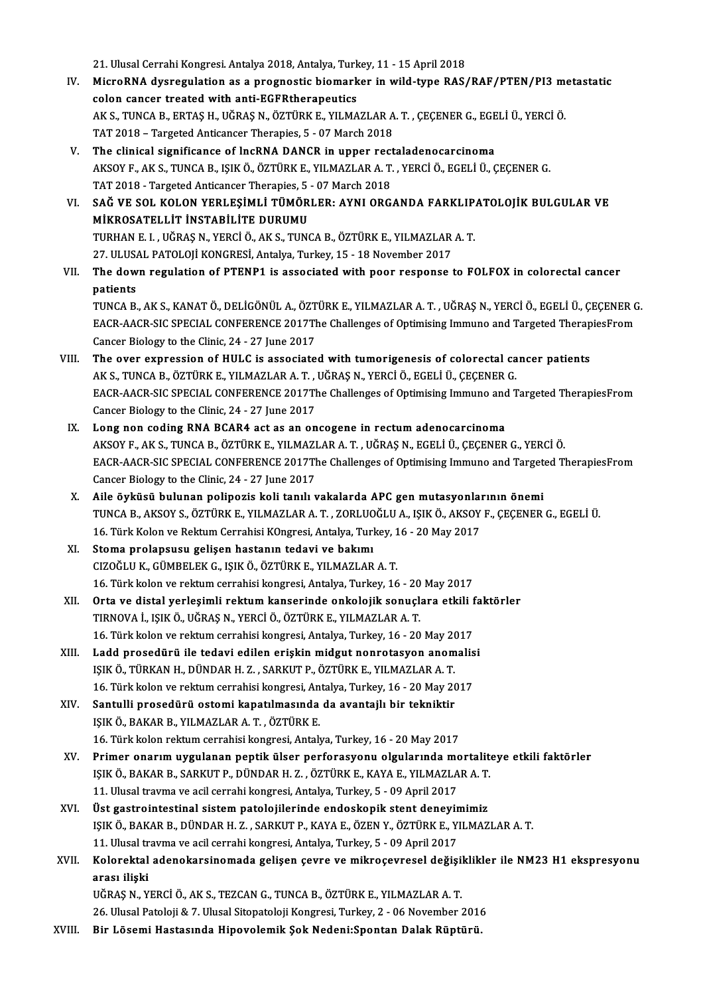21. Ulusal Cerrahi Kongresi. Antalya 2018, Antalya, Turkey, 11 - 15 April 2018<br>Miane BNA dyanogulation as a pregnestis biomenken in wild type BAS.

- IV. MicroRNA dysregulation as a prognostic biomarker in wild-type RAS/RAF/PTEN/PI3metastatic 21. Ulusal Cerrahi Kongresi. Antalya 2018, Antalya, Turk<br>MicroRNA dysregulation as a prognostic biomark<br>colon cancer treated with anti-EGFRtherapeutics<br>AKS TINGA B ERTAS H JIČRAS N ÖZTÜRKE VILMA MicroRNA dysregulation as a prognostic biomarker in wild-type RAS/RAF/PTEN/PI3 m<br>colon cancer treated with anti-EGFRtherapeutics<br>AK S., TUNCA B., ERTAŞ H., UĞRAŞ N., ÖZTÜRK E., YILMAZLAR A. T. , ÇEÇENER G., EGELİ Ü., YERCİ colon cancer treated with anti-EGFRtherapeutics<br>AK S., TUNCA B., ERTAŞ H., UĞRAŞ N., ÖZTÜRK E., YILMAZLAR A<br>TAT 2018 – Targeted Anticancer Therapies, 5 - 07 March 2018<br>The clinical significance of IncBNA DANCB in unner rec
- TAT 2018 Targeted Anticancer Therapies, 5 07 March 2018<br>V. The clinical significance of lncRNA DANCR in upper rectaladenocarcinoma TAT 2018 – Targeted Anticancer Therapies, 5 - 07 March 2018<br>The clinical significance of lncRNA DANCR in upper rectaladenocarcinoma<br>AKSOY F., AK S., TUNCA B., IŞIK Ö., ÖZTÜRK E., YILMAZLAR A. T. , YERCİ Ö., EGELİ Ü., ÇEÇEN The clinical significance of lncRNA DANCR in upper rect<br>AKSOY F., AK S., TUNCA B., IŞIK Ö., ÖZTÜRK E., YILMAZLAR A. T.<br>TAT 2018 - Targeted Anticancer Therapies, 5 - 07 March 2018<br>SAČ VE SOL KOLON VERLESIMLİ TÜMÖRLER. AVNLO AKSOY F., AK S., TUNCA B., IŞIK Ö., ÖZTÜRK E., YILMAZLAR A. T. , YERCİ Ö., EGELİ Ü., ÇEÇENER G.<br>TAT 2018 - Targeted Anticancer Therapies, 5 - 07 March 2018<br>VI. SAĞ VE SOL KOLON YERLEŞİMLİ TÜMÖRLER: AYNI ORGANDA FARKLIPATOL
- TAT 2018 Targeted Anticancer Therapies, 5<br>SAĞ VE SOL KOLON YERLEŞİMLİ TÜMÖR<br>MİKROSATELLİT İNSTABİLİTE DURUMU<br>TUPHAN E L. HÖRAS N. YERÇİ Ö. AK S. TUNG SAĞ VE SOL KOLON YERLEŞİMLİ TÜMÖRLER: AYNI ORGANDA FARKLIP.<br>MİKROSATELLİT İNSTABİLİTE DURUMU<br>TURHAN E. I. , UĞRAŞ N., YERCİ Ö., AK S., TUNCA B., ÖZTÜRK E., YILMAZLAR A. T.<br>27 HUJSAL PATOLOU KONCRESİ, ARISI'N Turkey 15, . 1 **MİKROSATELLİT İNSTABİLİTE DURUMU**<br>TURHAN E. I. , UĞRAŞ N., YERCİ Ö., AK S., TUNCA B., ÖZTÜRK E., YILMAZLAR A. T.<br>27. ULUSAL PATOLOJİ KONGRESİ, Antalya, Turkey, 15 - 18 November 2017 TURHAN E. I. , UĞRAŞ N., YERCİ Ö., AK S., TUNCA B., ÖZTÜRK E., YILMAZLAR A. T.<br>27. ULUSAL PATOLOJİ KONGRESİ, Antalya, Turkey, 15 - 18 November 2017<br>VII. The down regulation of PTENP1 is associated with poor response to
- 27. ULUSA<br>The dow<br>patients<br>TUNCA B The down regulation of PTENP1 is associated with poor response to FOLFOX in colorectal cancer<br>patients<br>TUNCA B., AK S., KANAT Ö., DELİGÖNÜL A., ÖZTÜRK E., YILMAZLAR A. T. , UĞRAŞ N., YERCİ Ö., EGELİ Ü., ÇEÇENER G.<br>FACP AAC

patients<br>TUNCA B., AK S., KANAT Ö., DELİGÖNÜL A., ÖZTÜRK E., YILMAZLAR A. T. , UĞRAŞ N., YERCİ Ö., EGELİ Ü., ÇEÇENER G<br>EACR-AACR-SIC SPECIAL CONFERENCE 2017The Challenges of Optimising Immuno and Targeted TherapiesFrom<br>Can TUNCA B., AK S., KANAT Ö., DELİGÖNÜL A., ÖZT<br>EACR-AACR-SIC SPECIAL CONFERENCE 2017TI<br>Cancer Biology to the Clinic, 24 - 27 June 2017<br>The even eunnession of HIII G is assosiate EACR-AACR-SIC SPECIAL CONFERENCE 2017The Challenges of Optimising Immuno and Targeted Therap<br>Cancer Biology to the Clinic, 24 - 27 June 2017<br>VIII. The over expression of HULC is associated with tumorigenesis of colorectal

- Cancer Biology to the Clinic, 24 27 June 2017<br>The over expression of HULC is associated with tumorigenesis of colorectal ca<br>AK S., TUNCA B., ÖZTÜRK E., YILMAZLAR A. T. , UĞRAŞ N., YERCİ Ö., EGELİ Ü., ÇEÇENER G.<br>EACP AACP The over expression of HULC is associated with tumorigenesis of colorectal cancer patients<br>AK S., TUNCA B., ÖZTÜRK E., YILMAZLAR A. T. , UĞRAŞ N., YERCİ Ö., EGELİ Ü., ÇEÇENER G.<br>EACR-AACR-SIC SPECIAL CONFERENCE 2017The Cha AK S., TUNCA B., ÖZTÜRK E., YILMAZLAR A. T. ,<br>EACR-AACR-SIC SPECIAL CONFERENCE 2017TH<br>Cancer Biology to the Clinic, 24 - 27 June 2017<br>Lang non-soding PNA BCABA ast as an an EACR-AACR-SIC SPECIAL CONFERENCE 2017The Challenges of Optimising Immuno and<br>Cancer Biology to the Clinic, 24 - 27 June 2017<br>IX. Long non coding RNA BCAR4 act as an oncogene in rectum adenocarcinoma<br>AKSOV E AK S TINCA B ÖZ
- Cancer Biology to the Clinic, 24 27 June 2017<br>Long non coding RNA BCAR4 act as an oncogene in rectum adenocarcinoma<br>AKSOY F., AK S., TUNCA B., ÖZTÜRK E., YILMAZLAR A. T. , UĞRAŞ N., EGELİ Ü., ÇEÇENER G., YERCİ Ö.<br>EACP AA Long non coding RNA BCAR4 act as an oncogene in rectum adenocarcinoma<br>AKSOY F., AK S., TUNCA B., ÖZTÜRK E., YILMAZLAR A. T. , UĞRAŞ N., EGELİ Ü., ÇEÇENER G., YERCİ Ö.<br>EACR-AACR-SIC SPECIAL CONFERENCE 2017The Challenges of AKSOY F., AK S., TUNCA B., ÖZTÜRK E., YILMAZI<br>EACR-AACR-SIC SPECIAL CONFERENCE 2017TH<br>Cancer Biology to the Clinic, 24 - 27 June 2017 EACR-AACR-SIC SPECIAL CONFERENCE 2017The Challenges of Optimising Immuno and Target<br>Cancer Biology to the Clinic, 24 - 27 June 2017<br>X. Aile öyküsü bulunan polipozis koli tanılı vakalarda APC gen mutasyonlarının önemi<br>TINCA
- Cancer Biology to the Clinic, 24 27 June 2017<br>Aile öyküsü bulunan polipozis koli tanılı vakalarda APC gen mutasyonlarının önemi<br>TUNCA B., AKSOY S., ÖZTÜRK E., YILMAZLAR A. T., ZORLUOĞLU A., IŞIK Ö., AKSOY F., ÇEÇENER G., X. Aile öyküsü bulunan polipozis koli tanılı vakalarda APC gen mutasyonlarının önemi
- XI. Stoma prolapsusu gelişen hastanın tedavi ve bakımı CIZOĞLUK.,GÜMBELEKG., IŞIKÖ.,ÖZTÜRKE.,YILMAZLARA.T. 16. Türk kolon ve rektum cerrahisi kongresi, Antalya, Turkey, 16 - 20 May 2017 CIZOĞLU K., GÜMBELEK G., IŞIK Ö., ÖZTÜRK E., YILMAZLAR A. T.<br>16. Türk kolon ve rektum cerrahisi kongresi, Antalya, Turkey, 16 - 20 May 2017<br>XII. Orta ve distal yerleşimli rektum kanserinde onkolojik sonuçlara etkili fa
- TIRNOVA İ., IŞIK Ö., UĞRAŞ N., YERCİ Ö., ÖZTÜRK E., YILMAZLAR A. T.<br>16. Türk kolon ve rektum cerrahisi kongresi, Antalya, Turkey, 16 20 May 2017 Orta ve distal yerleşimli rektum kanserinde onkolojik sonuçlara etkili f<br>TIRNOVA İ., IŞIK Ö., UĞRAŞ N., YERCİ Ö., ÖZTÜRK E., YILMAZLAR A. T.<br>16. Türk kolon ve rektum cerrahisi kongresi, Antalya, Turkey, 16 - 20 May 2017<br>La TIRNOVA İ., IŞIK Ö., UĞRAŞ N., YERCİ Ö., ÖZTÜRK E., YILMAZLAR A. T.<br>16. Türk kolon ve rektum cerrahisi kongresi, Antalya, Turkey, 16 - 20 May 2017<br>XIII. Ladd prosedürü ile tedavi edilen erişkin midgut nonrotasyon anomalisi
- 16. Türk kolon ve rektum cerrahisi kongresi, Antalya, Turkey, 16 20 May 20<br>Ladd prosedürü ile tedavi edilen erişkin midgut nonrotasyon anom<br>IŞIK Ö., TÜRKAN H., DÜNDAR H. Z. , SARKUT P., ÖZTÜRK E., YILMAZLAR A. T.<br>16. Tür Ladd prosedürü ile tedavi edilen erişkin midgut nonrotasyon anomalis<br>151K Ö., TÜRKAN H., DÜNDAR H. Z. , SARKUT P., ÖZTÜRK E., YILMAZLAR A. T.<br>16. Türk kolon ve rektum cerrahisi kongresi, Antalya, Turkey, 16 - 20 May 2017<br>S IŞIK Ö., TÜRKAN H., DÜNDAR H. Z. , SARKUT P., ÖZTÜRK E., YILMAZLAR A. T.<br>16. Türk kolon ve rektum cerrahisi kongresi, Antalya, Turkey, 16 - 20 May 20<br>XIV. Santulli prosedürü ostomi kapatılmasında da avantajlı bir tekniktir
- 16. Türk kolon ve rektum cerrahisi kongresi, An<br>Santulli prosedürü ostomi kapatılmasında<br>IŞIK Ö., BAKAR B., YILMAZLAR A. T. , ÖZTÜRK E.<br>16. Türk kolon rektum cerrebisi kongresi, Antak Santulli prosedürü ostomi kapatılmasında da avantajlı bir tekniktir<br>151K Ö., BAKAR B., YILMAZLAR A. T. , ÖZTÜRK E.<br>16. Türk kolon rektum cerrahisi kongresi, Antalya, Turkey, 16 - 20 May 2017<br>Primer onarum uygulanan nantik
- IŞIK Ö., BAKAR B., YILMAZLAR A. T. , ÖZTÜRK E.<br>16. Türk kolon rektum cerrahisi kongresi, Antalya, Turkey, 16 20 May 2017<br>XV. Primer onarım uygulanan peptik ülser perforasyonu olgularında mortaliteye etkili faktörler<br> 16. Türk kolon rektum cerrahisi kongresi, Antalya, Turkey, 16 - 20 May 2017<br>Primer onarım uygulanan peptik ülser perforasyonu olgularında mortalit<br>IŞIK Ö., BAKAR B., SARKUT P., DÜNDAR H. Z. , ÖZTÜRK E., KAYA E., YILMAZLAR Primer onarım uygulanan peptik ülser perforasyonu olgularında mo<br>15IK Ö., BAKAR B., SARKUT P., DÜNDAR H. Z. , ÖZTÜRK E., KAYA E., YILMAZLA<br>11. Ulusal travma ve acil cerrahi kongresi, Antalya, Turkey, 5 - 09 April 2017<br>Üst IŞIK Ö., BAKAR B., SARKUT P., DÜNDAR H. Z. , ÖZTÜRK E., KAYA E., YILMAZLAR A. T.<br>11. Ulusal travma ve acil cerrahi kongresi, Antalya, Turkey, 5 - 09 April 2017<br>XVI. Üst gastrointestinal sistem patolojilerinde endoskopi
- IŞIKÖ.,BAKARB.,DÜNDARH.Z. ,SARKUTP.,KAYAE.,ÖZENY.,ÖZTÜRKE.,YILMAZLARA.T. Üst gastrointestinal sistem patolojilerinde endoskopik stent deneyimimiz IŞIK Ö., BAKAR B., DÜNDAR H. Z. , SARKUT P., KAYA E., ÖZEN Y., ÖZTÜRK E., YILMAZLAR A. T.<br>11. Ulusal travma ve acil cerrahi kongresi, Antalya, Turkey, 5 - 09 April 2017<br>XVII. Kolorektal adenokarsinomada gelişen çevre v
- 11. Ulusal travma ve acil cerrahi kongresi, Antalya, Turkey, 5 09 April 2017<br>Kolorektal adenokarsinomada gelişen çevre ve mikroçevresel değişil<br>arası ilişki<br>UĞRAŞ N., YERCİ Ö., AK S., TEZCAN G., TUNCA B., ÖZTÜRK E., YILM Kolorektal adenokarsinomada gelişen çevre ve mikroçevresel değişil<br>arası ilişki<br>UĞRAŞ N., YERCİ Ö., AK S., TEZCAN G., TUNCA B., ÖZTÜRK E., YILMAZLAR A. T.<br>26 Ulucal Patalaji & 7 Ulucal Sitanatalaji Kangresi Turkay 2., 06 N

26.UlusalPatoloji&7.UlusalSitopatolojiKongresi,Turkey,2 -06November 2016

XVIII. Bir Lösemi Hastasında Hipovolemik Şok Nedeni:Spontan Dalak Rüptürü.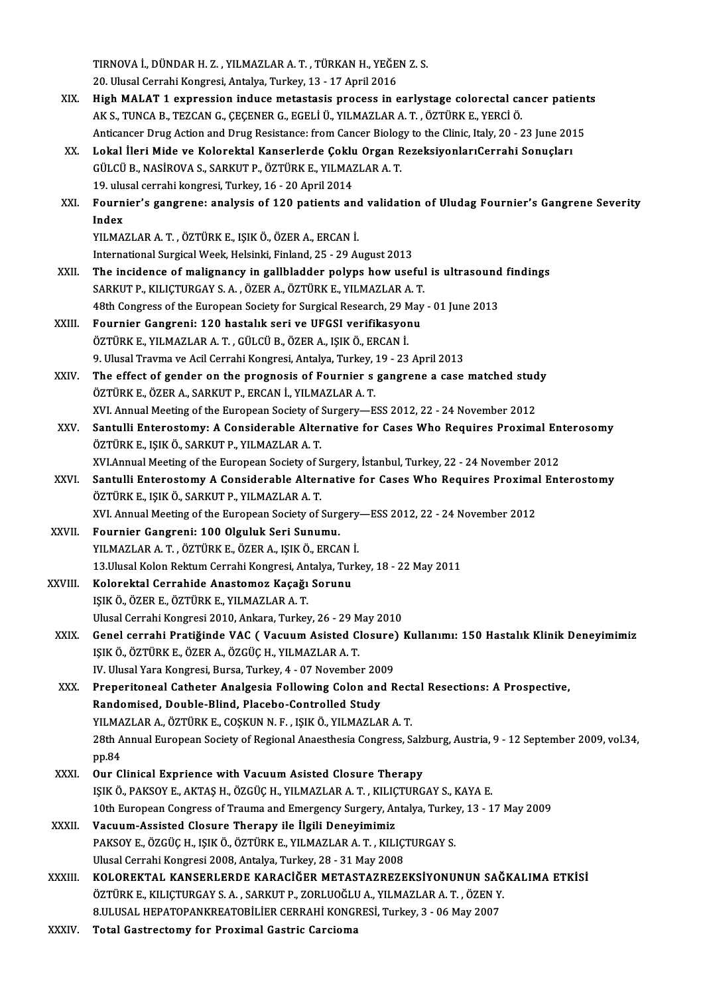TIRNOVA İ., DÜNDAR H. Z. , YILMAZLAR A. T. , TÜRKAN H., YEĞEN Z. S.<br>20 Hivesi Carrabi Kangresi, Antalya Turkey, 13 , 17 Anril 2016 1 TIRNOVA İ., DÜNDAR H. Z. , YILMAZLAR A. T. , TÜRKAN H., YEĞE.<br>20. Ulusal Cerrahi Kongresi, Antalya, Turkey, 13 - 17 April 2016<br>High MAJ AT 1 avnusesian induse matestasis presses in s

- TIRNOVA İ., DÜNDAR H. Z. , YILMAZLAR A. T. , TÜRKAN H., YEĞEN Z. S.<br>20. Ulusal Cerrahi Kongresi, Antalya, Turkey, 13 17 April 2016<br>XIX. High MALAT 1 expression induce metastasis process in earlystage colorectal cance 20. Ulusal Cerrahi Kongresi, Antalya, Turkey, 13 - 17 April 2016<br>High MALAT 1 expression induce metastasis process in earlystage colorectal ca<br>AK S., TUNCA B., TEZCAN G., ÇEÇENER G., EGELİ Ü., YILMAZLAR A. T. , ÖZTÜRK E., High MALAT 1 expression induce metastasis process in earlystage colorectal cancer patient<br>AK S., TUNCA B., TEZCAN G., ÇEÇENER G., EGELİ Ü., YILMAZLAR A. T. , ÖZTÜRK E., YERCİ Ö.<br>Anticancer Drug Action and Drug Resistance: AK S., TUNCA B., TEZCAN G., ÇEÇENER G., EGELİ Ü., YILMAZLAR A. T. , ÖZTÜRK E., YERCİ Ö.<br>Anticancer Drug Action and Drug Resistance: from Cancer Biology to the Clinic, Italy, 20 - 23 June 20:<br>XX. Lokal İleri Mide ve Kol
- Anticancer Drug Action and Drug Resistance: from Cancer Biology to the Clinic, Italy, 20 23 June 2015<br>Lokal İleri Mide ve Kolorektal Kanserlerde Çoklu Organ RezeksiyonlarıCerrahi Sonuçları<br>GÜLCÜ B., NASİROVA S., SARKUT P GÜLCÜ B., NASİROVA S., SARKUT P., ÖZTÜRK E., YILMAZLAR A. T. GÜLCÜ B., NASİROVA S., SARKUT P., ÖZTÜRK E., YILMAZLAR A. T.<br>19. ulusal cerrahi kongresi, Turkey, 16 - 20 April 2014<br>XXI. Fournier's gangrene: analysis of 120 patients and validation of Uludag Fournier's Gangrene Sever
- 19. ulu<br>Fourn<br>Index<br><sup>VII MA</sup> Fournier's gangrene: analysis of 120 patients and<br>Index<br>YILMAZLAR A. T. , ÖZTÜRK E., IŞIK Ö., ÖZER A., ERCAN İ.<br>International Surgical Week Helsinki, Finland 25, 29 A. Index<br>YILMAZLAR A. T. , ÖZTÜRK E., IŞIK Ö., ÖZER A., ERCAN İ.<br>International Surgical Week, Helsinki, Finland, 25 - 29 August 2013

- XXII. The incidence of malignancy in gallbladder polyps how useful is ultrasound findings International Surgical Week, Helsinki, Finland, 25 - 29 August 2013<br>The incidence of malignancy in gallbladder polyps how useful<br>SARKUT P., KILIÇTURGAY S. A. , ÖZER A., ÖZTÜRK E., YILMAZLAR A. T.<br>48th Congress of the Europ The incidence of malignancy in gallbladder polyps how useful is ultrasound<br>SARKUT P., KILIÇTURGAY S. A. , ÖZER A., ÖZTÜRK E., YILMAZLAR A. T.<br>48th Congress of the European Society for Surgical Research, 29 May - 01 June 20 SARKUT P., KILIÇTURGAY S. A. , ÖZER A., ÖZTÜRK E., YILMAZLAR A. T.<br>48th Congress of the European Society for Surgical Research, 29 May<br>XXIII. Fournier Gangreni: 120 hastalık seri ve UFGSI verifikasyonu<br>ÖZTÜRK E. XILMAZLAR
- 48th Congress of the European Society for Surgical Research, 29 M<br>Fournier Gangreni: 120 hastalık seri ve UFGSI verifikasyor<br>ÖZTÜRK E., YILMAZLAR A.T., GÜLCÜ B., ÖZER A., IŞIK Ö., ERCAN İ.<br>9 Husel Trauma ve Asil Carrabi Ka Fournier Gangreni: 120 hastalık seri ve UFGSI verifikasyonu<br>ÖZTÜRK E., YILMAZLAR A. T. , GÜLCÜ B., ÖZER A., IŞIK Ö., ERCAN İ.<br>9. Ulusal Travma ve Acil Cerrahi Kongresi, Antalya, Turkey, 19 - 23 April 2013 ÖZTÜRK E., YILMAZLAR A. T. , GÜLCÜ B., ÖZER A., IŞIK Ö., ERCAN İ.<br>9. Ulusal Travma ve Acil Cerrahi Kongresi, Antalya, Turkey, 19 - 23 April 2013<br>XXIV. The effect of gender on the prognosis of Fournier s gangrene a case mat
- 9. Ulusal Travma ve Acil Cerrahi Kongresi, Antalya, Turkey, The effect of gender on the prognosis of Fournier s<br>ÖZTÜRK E., ÖZER A., SARKUT P., ERCAN İ., YILMAZLAR A. T.<br>YIL Annual Mesting of the Euroneen Society of Surgewy The effect of gender on the prognosis of Fournier s gangrene a case matched stud<br>ÖZTÜRK E., ÖZER A., SARKUT P., ERCAN İ., YILMAZLAR A. T.<br>XVI. Annual Meeting of the European Society of Surgery—ESS 2012, 22 - 24 November 20 XVI. Annual Meeting of the European Society of Surgery—ESS 2012, 22 - 24 November 2012
- ÖZTÜRK E., ÖZER A., SARKUT P., ERCAN İ., YILMAZLAR A. T.<br>XVI. Annual Meeting of the European Society of Surgery—ESS 2012, 22 24 November 2012<br>XXV. Santulli Enterostomy: A Considerable Alternative for Cases Who Requires P Santulli Enterostomy: A Considerable Alternative for Cases Who Requires Proximal En<br>ÖZTÜRK E., IŞIK Ö., SARKUT P., YILMAZLAR A. T.<br>XVI.Annual Meeting of the European Society of Surgery, İstanbul, Turkey, 22 - 24 November 2
- XXVI. Santulli Enterostomy A Considerable Alternative for Cases Who Requires Proximal Enterostomy<br>ÖZTÜRK E., IŞIK Ö., SARKUT P., YILMAZLAR A. T. XVI.Annual Meeting of the European Society of S<br>Santulli Enterostomy A Considerable Alter<br>ÖZTÜRK E., IŞIK Ö., SARKUT P., YILMAZLAR A. T.<br>YVI. Annual Meeting of the European Society of t Santulli Enterostomy A Considerable Alternative for Cases Who Requires Proxima<br>ÖZTÜRK E., IŞIK Ö., SARKUT P., YILMAZLAR A. T.<br>XVI. Annual Meeting of the European Society of Surgery—ESS 2012, 22 - 24 November 2012<br>Fournier
	-
- ÖZTÜRK E., IŞIK Ö., SARKUT P., YILMAZLAR A. T.<br>XVI. Annual Meeting of the European Society of Surg<br>XXVII. Fournier Gangreni: 100 Olguluk Seri Sunumu.<br>VII MAZLAR A. T. ÖZTÜRK E. ÖZER A. ISIK Ö. ERCA XVI. Annual Meeting of the European Society of Surgery<br>Fournier Gangreni: 100 Olguluk Seri Sunumu.<br>YILMAZLAR A. T. , ÖZTÜRK E., ÖZER A., IŞIK Ö., ERCAN İ.<br>13 Ulusal Kalan Baktum Carrabi Kangresi, Antakya Turk Fournier Gangreni: 100 Olguluk Seri Sunumu.<br>13.Ulusal Kolon Rektum Cerrahi Kongresi, Antalya, Turkey, 18 - 22 May 2011<br>Kolorektal Cerrahide Anastomoz Kacağı Sorunu YILMAZLAR A. T. , ÖZTÜRK E., ÖZER A., IŞIK Ö., ERCAN İ.<br>13.Ulusal Kolon Rektum Cerrahi Kongresi, Antalya, Turk<br>XXVIII. Kolorektal Cerrahide Anastomoz Kaçağı Sorunu
- IŞIKÖ.,ÖZERE.,ÖZTÜRKE.,YILMAZLARA.T. UlusalCerrahiKongresi2010,Ankara,Turkey,26 -29May2010
- IŞIK Ö., ÖZER E., ÖZTÜRK E., YILMAZLAR A. T.<br>Ulusal Cerrahi Kongresi 2010, Ankara, Turkey, 26 29 May 2010<br>XXIX. Genel cerrahi Pratiğinde VAC ( Vacuum Asisted Closure) Kullanımı: 150 Hastalık Klinik Deneyimimiz<br>ISIK Ö IŞIK Ö., ÖZTÜRK E., ÖZER A., ÖZGÜÇ H., YILMAZLAR A. T.<br>IV. Ulusal Yara Kongresi. Bursa. Turkev. 4 - 07 November 2009 Genel cerrahi Pratiğinde VAC ( Vacuum Asisted Closure)<br>IŞIK Ö., ÖZTÜRK E., ÖZER A., ÖZGÜÇ H., YILMAZLAR A. T.<br>IV. Ulusal Yara Kongresi, Bursa, Turkey, 4 - 07 November 2009<br>Preperitaneal Cathetar Analgesia Fallowing Calap a
- XXX. Preperitoneal Catheter Analgesia Following Colon and Rectal Resections: A Prospective, IV. Ulusal Yara Kongresi, Bursa, Turkey, 4 - 07 November 200<br>Preperitoneal Catheter Analgesia Following Colon and<br>Randomised, Double-Blind, Placebo-Controlled Study<br>YU MAZLAR A. ÖZTÜRK E. COSKUN N. E. ISIKÖ, YU MAZLA Preperitoneal Catheter Analgesia Following Colon and Rect<br>Randomised, Double-Blind, Placebo-Controlled Study<br>YILMAZLAR A., ÖZTÜRK E., COŞKUN N. F. , IŞIK Ö., YILMAZLAR A. T.<br>28th Annual European Society of Begianal Anaesth 28th Annual European Society of Regional Anaesthesia Congress, Salzburg, Austria, 9 - 12 September 2009, vol.34, pp.84 YILMAZLAR A., ÖZTÜRK E., COSKUN N. F., ISIK Ö., YILMAZLAR A. T.
- XXXI. Our Clinical Exprience with Vacuum Asisted Closure Therapy pp.84<br>Our Clinical Exprience with Vacuum Asisted Closure Therapy<br>IŞIK Ö., PAKSOY E., AKTAŞ H., ÖZGÜÇ H., YILMAZLAR A. T. , KILIÇTURGAY S., KAYA E.<br>10th European Congress of Traume and Emergengu Surgery, Antalya Turkey, 13, Our Clinical Exprience with Vacuum Asisted Closure Therapy<br>15IK Ö., PAKSOY E., AKTAŞ H., ÖZGÜÇ H., YILMAZLAR A. T. , KILIÇTURGAY S., KAYA E.<br>10th European Congress of Trauma and Emergency Surgery, Antalya, Turkey, 13 - 17 IŞIK Ö., PAKSOY E., AKTAŞ H., ÖZGÜÇ H., YILMAZLAR A. T., KILIÇ<br>10th European Congress of Trauma and Emergency Surgery, Ar<br>XXXII. Vacuum-Assisted Closure Therapy ile İlgili Deneyimimiz<br>PAKSOY E. ÖZGÜÇ H. ISIK Ö. ÖZTÜRK E. Y
- 10th European Congress of Trauma and Emergency Surgery, Antalya, Turke<br>Vacuum-Assisted Closure Therapy ile İlgili Deneyimimiz<br>PAKSOY E., ÖZGÜÇ H., IŞIK Ö., ÖZTÜRK E., YILMAZLAR A. T. , KILIÇTURGAY S.<br>Ulusel Cerrebi Kongres Vacuum-Assisted Closure Therapy ile İlgili Deneyimimiz<br>PAKSOY E., ÖZGÜÇ H., IŞIK Ö., ÖZTÜRK E., YILMAZLAR A. T. , KILIÇTURGAY S.<br>Ulusal Cerrahi Kongresi 2008, Antalya, Turkey, 28 - 31 May 2008 PAKSOY E., ÖZGÜÇ H., IŞIK Ö., ÖZTÜRK E., YILMAZLAR A. T. , KILIÇTURGAY S.<br>Ulusal Cerrahi Kongresi 2008, Antalya, Turkey, 28 - 31 May 2008<br>XXXIII. KOLOREKTAL KANSERLERDE KARACİĞER METASTAZREZEKSİYONUNUN SAĞKALIMA ETKİSİ
- Ulusal Cerrahi Kongresi 2008, Antalya, Turkey, 28 31 May 2008<br>**KOLOREKTAL KANSERLERDE KARACIĞER METASTAZREZEKSİYONUNUN SAĞ**<br>ÖZTÜRK E., KILIÇTURGAY S. A. , SARKUT P., ZORLUOĞLU A., YILMAZLAR A. T. , ÖZEN Y.<br>9 ULUSAL HERAT KOLOREKTAL KANSERLERDE KARACİĞER METASTAZREZEKSİYONUNUN SAĞ<br>ÖZTÜRK E., KILIÇTURGAY S. A. , SARKUT P., ZORLUOĞLU A., YILMAZLAR A. T. , ÖZEN Y.<br>8.ULUSAL HEPATOPANKREATOBİLİER CERRAHİ KONGRESİ, Turkey, 3 - 06 May 2007<br>Tatal C ÖZTÜRK E., KILIÇTURGAY S. A. , SARKUT P., ZORLUOĞLU A., YILMAZLAR A. T. , ÖZEN Y.<br>8.ULUSAL HEPATOPANKREATOBİLİER CERRAHİ KONGRESİ, Turkey, 3 - 06 May 2007<br>XXXIV. Total Gastrectomy for Proximal Gastric Carcioma
-